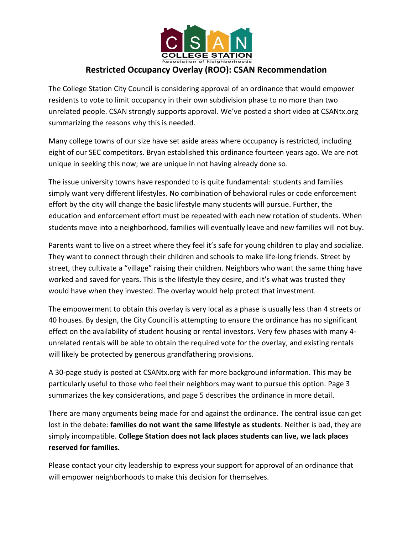

## **Restricted Occupancy Overlay (ROO): CSAN Recommendation**

The College Station City Council is considering approval of an ordinance that would empower residents to vote to limit occupancy in their own subdivision phase to no more than two unrelated people. CSAN strongly supports approval. We've posted a short video at CSANtx.org summarizing the reasons why this is needed.

Many college towns of our size have set aside areas where occupancy is restricted, including eight of our SEC competitors. Bryan established this ordinance fourteen years ago. We are not unique in seeking this now; we are unique in not having already done so.

The issue university towns have responded to is quite fundamental: students and families simply want very different lifestyles. No combination of behavioral rules or code enforcement effort by the city will change the basic lifestyle many students will pursue. Further, the education and enforcement effort must be repeated with each new rotation of students. When students move into a neighborhood, families will eventually leave and new families will not buy.

Parents want to live on a street where they feel it's safe for young children to play and socialize. They want to connect through their children and schools to make life-long friends. Street by street, they cultivate a "village" raising their children. Neighbors who want the same thing have worked and saved for years. This is the lifestyle they desire, and it's what was trusted they would have when they invested. The overlay would help protect that investment.

The empowerment to obtain this overlay is very local as a phase is usually less than 4 streets or 40 houses. By design, the City Council is attempting to ensure the ordinance has no significant effect on the availability of student housing or rental investors. Very few phases with many 4 unrelated rentals will be able to obtain the required vote for the overlay, and existing rentals will likely be protected by generous grandfathering provisions.

A 30-page study is posted at CSANtx.org with far more background information. This may be particularly useful to those who feel their neighbors may want to pursue this option. Page 3 summarizes the key considerations, and page 5 describes the ordinance in more detail.

There are many arguments being made for and against the ordinance. The central issue can get lost in the debate: **families do not want the same lifestyle as students**. Neither is bad, they are simply incompatible. **College Station does not lack places students can live, we lack places reserved for families.**

Please contact your city leadership to express your support for approval of an ordinance that will empower neighborhoods to make this decision for themselves.